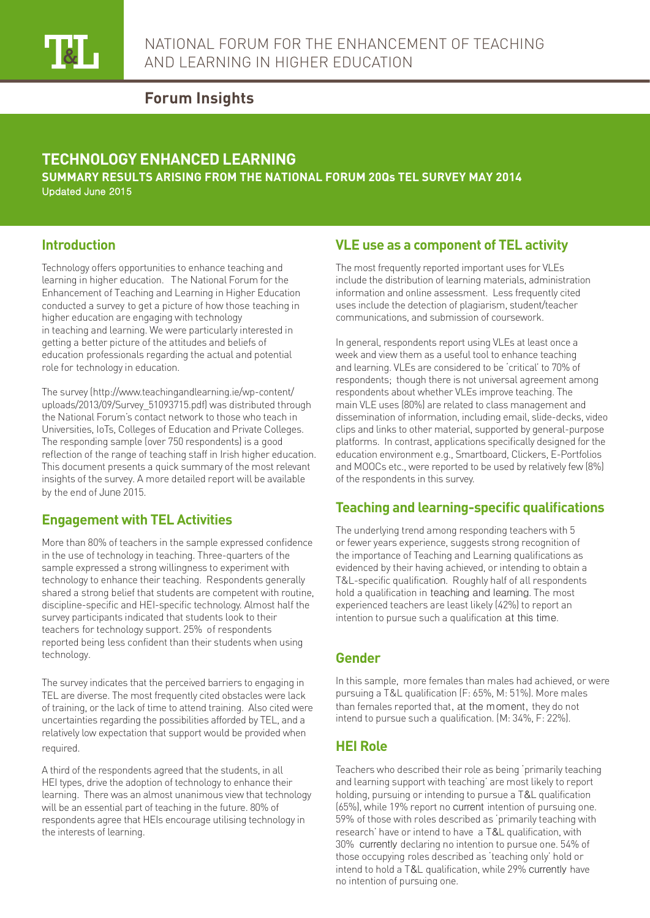

## **Forum Insights**

# **TECHNOLOGY ENHANCED LEARNING**

**SUMMARY RESULTS ARISING FROM THE NATIONAL FORUM 20Qs TEL SURVEY MAY 2014** Updated June 2015

## **Introduction**

Technology offers opportunities to enhance teaching and learning in higher education. The National Forum for the Enhancement of Teaching and Learning in Higher Education conducted a survey to get a picture of how those teaching in higher education are engaging with technology in teaching and learning. We were particularly interested in getting a better picture of the attitudes and beliefs of education professionals regarding the actual and potential role for technology in education.

The survey (http://www.teachingandlearning.ie/wp-content/ uploads/2013/09/Survey\_51093715.pdf) was distributed through the National Forum's contact network to those who teach in Universities, IoTs, Colleges of Education and Private Colleges. The responding sample (over 750 respondents) is a good reflection of the range of teaching staff in Irish higher education. This document presents a quick summary of the most relevant insights of the survey. A more detailed report will be available by the end of June 2015.

## **Engagement with TEL Activities**

More than 80% of teachers in the sample expressed confidence in the use of technology in teaching. Three-quarters of the sample expressed a strong willingness to experiment with technology to enhance their teaching. Respondents generally shared a strong belief that students are competent with routine, discipline-specific and HEI-specific technology. Almost half the survey participants indicated that students look to their teachers for technology support. 25% of respondents reported being less confident than their students when using technology.

The survey indicates that the perceived barriers to engaging in TEL are diverse. The most frequently cited obstacles were lack of training, or the lack of time to attend training. Also cited were uncertainties regarding the possibilities afforded by TEL, and a relatively low expectation that support would be provided when required.

A third of the respondents agreed that the students, in all HEI types, drive the adoption of technology to enhance their learning. There was an almost unanimous view that technology will be an essential part of teaching in the future. 80% of respondents agree that HEIs encourage utilising technology in the interests of learning.

## **VLE use as a component of TEL activity**

The most frequently reported important uses for VLEs include the distribution of learning materials, administration information and online assessment. Less frequently cited uses include the detection of plagiarism, student/teacher communications, and submission of coursework.

In general, respondents report using VLEs at least once a week and view them as a useful tool to enhance teaching and learning. VLEs are considered to be 'critical' to 70% of respondents; though there is not universal agreement among respondents about whether VLEs improve teaching. The main VLE uses (80%) are related to class management and dissemination of information, including email, slide-decks, video clips and links to other material, supported by general-purpose platforms. In contrast, applications specifically designed for the education environment e.g., Smartboard, Clickers, E-Portfolios and MOOCs etc., were reported to be used by relatively few (8%) of the respondents in this survey.

## **Teaching and learning-specific qualifications**

The underlying trend among responding teachers with 5 or fewer years experience, suggests strong recognition of the importance of Teaching and Learning qualifications as evidenced by their having achieved, or intending to obtain a T&L-specific qualification. Roughly half of all respondents hold a qualification in teaching and learning. The most experienced teachers are least likely (42%) to report an intention to pursue such a qualification at this time.

#### **Gender**

In this sample, more females than males had achieved, or were pursuing a T&L qualification (F: 65%, M: 51%). More males than females reported that, at the moment, they do not intend to pursue such a qualification. (M: 34%, F: 22%).

#### **HEI Role**

Teachers who described their role as being 'primarily teaching and learning support with teaching' are most likely to report holding, pursuing or intending to pursue a T&L qualification (65%), while 19% report no current intention of pursuing one. 59% of those with roles described as 'primarily teaching with research' have or intend to have a T&L qualification, with 30% currently declaring no intention to pursue one. 54% of those occupying roles described as 'teaching only' hold or intend to hold a T&L qualification, while 29% currently have no intention of pursuing one.